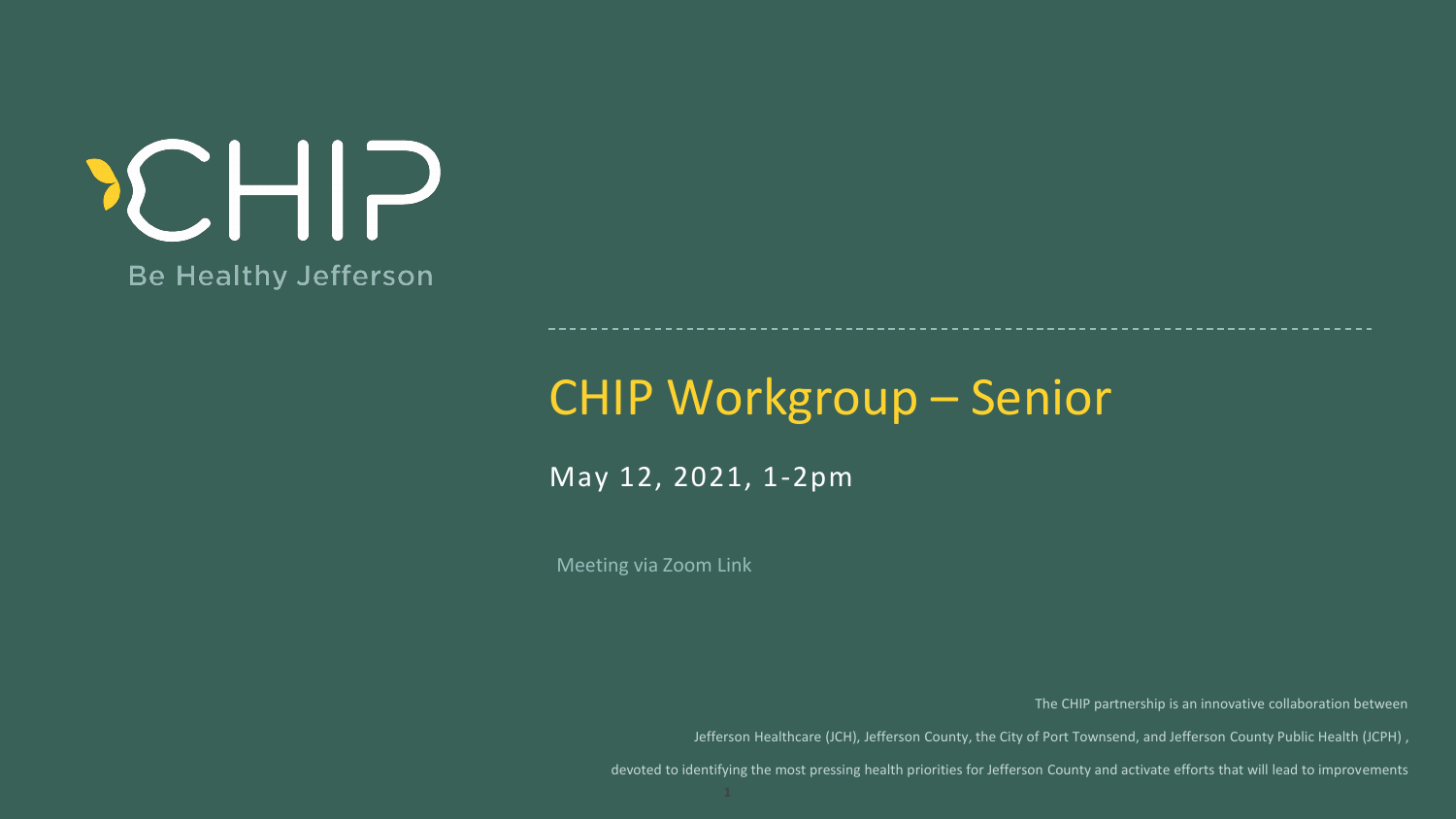### CHIP Workgroup – Senior

Meeting via Zoom Link

May 12, 2021, 1-2pm

The CHIP partnership is an innovative collaboration between

Jefferson Healthcare (JCH), Jefferson County, the City of Port Townsend, and Jefferson County Public Health (JCPH) ,

devoted to identifying the most pressing health priorities for Jefferson County and activate efforts that will lead to improvements

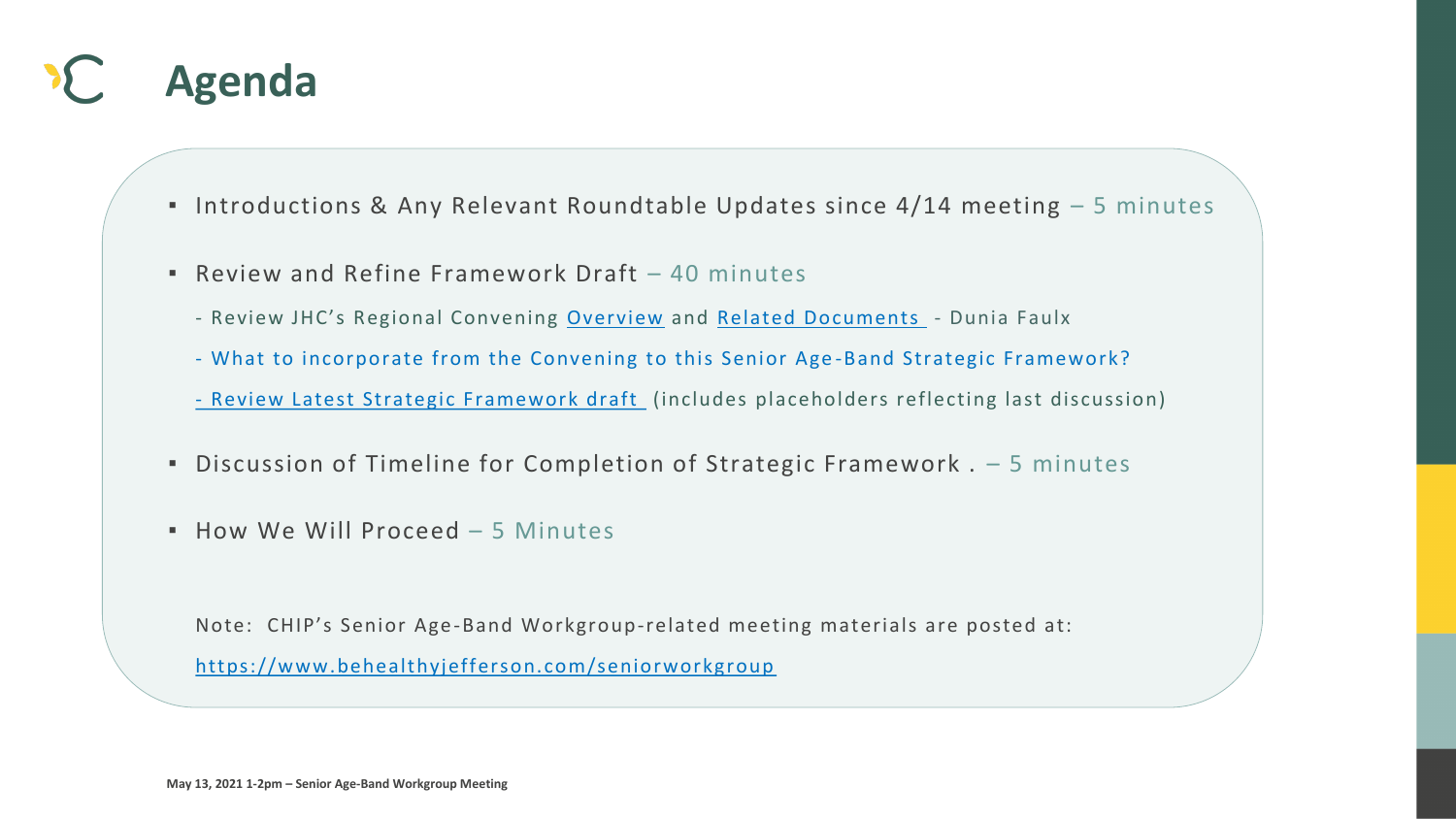

▪ Introductions & Any Relevant Roundtable Updates since 4/14 meeting – 5 minutes

- [Review Latest Strategic Framework draft](https://793b0af6-bf22-4c2c-91c8-8cc6fd2f172d.filesusr.com/ugd/2fdcdd_a4d37f773a7246bdbec59062a1822517.pdf) (includes placeholders reflecting last discussion)



- 
- **Review and Refine Framework Draft 40 minutes** 
	- Review JHC's Regional Convening [Overview](https://jeffersonhealthcare.org/regional-convening-the-health-of-older-adults-in-rural-communities-mind-body-body-and-soul/) and [Related Documents](https://www.nationalcomplex.care/regional-convenings/regional-convenings-2019-washington/)  Dunia Faulx
	- What to incorporate from the Convening to this Senior Age -Band Strategic Framework?
	-
- Discussion of Timeline for Completion of Strategic Framework . − 5 minutes
- How We Will Proceed 5 Minutes

Note: CHIP's Senior Age-Band Workgroup-related meeting materials are posted at: <https://www.behealthyjefferson.com/seniorworkgroup>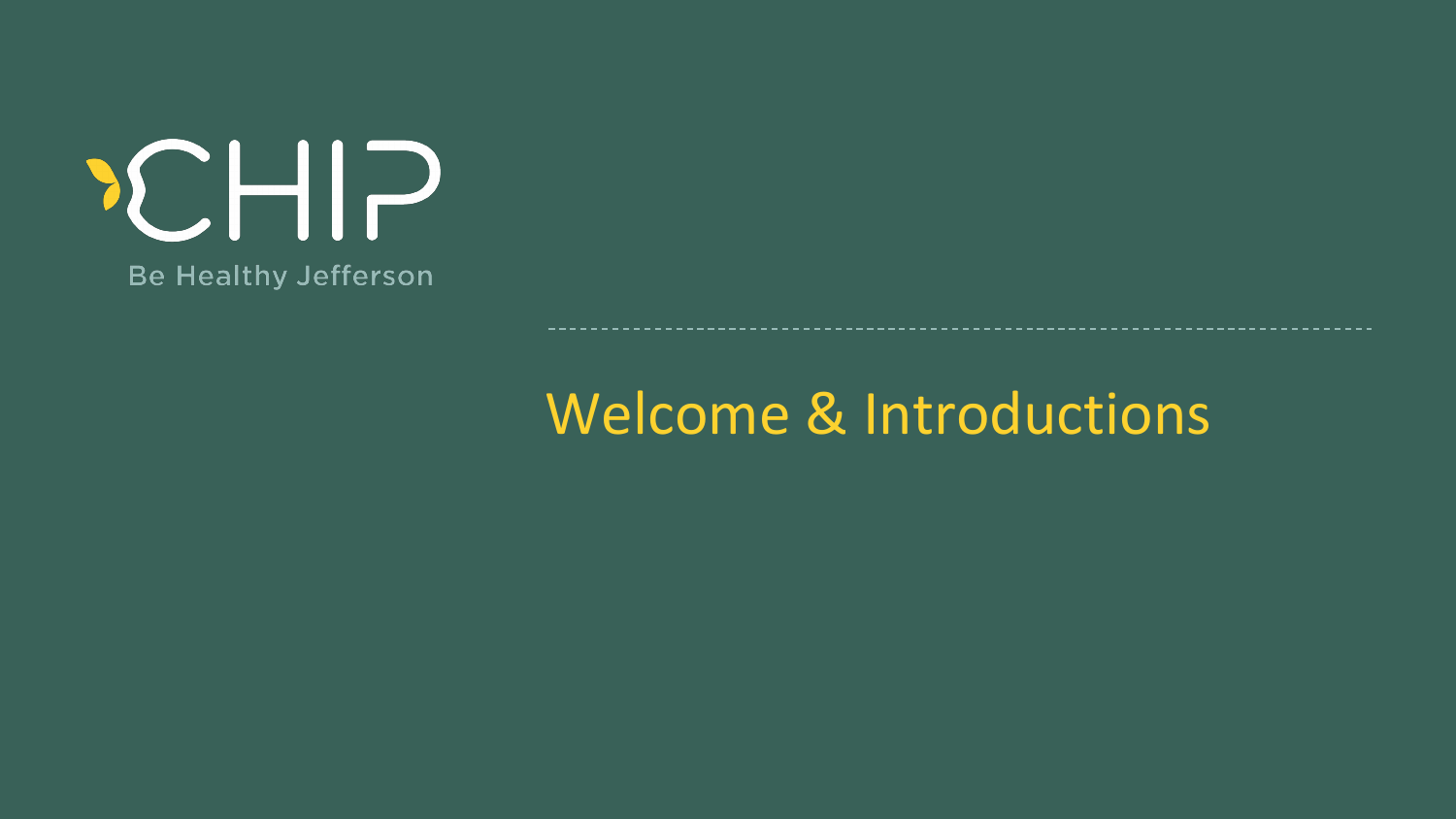### Welcome & Introduction Welcome & Introductions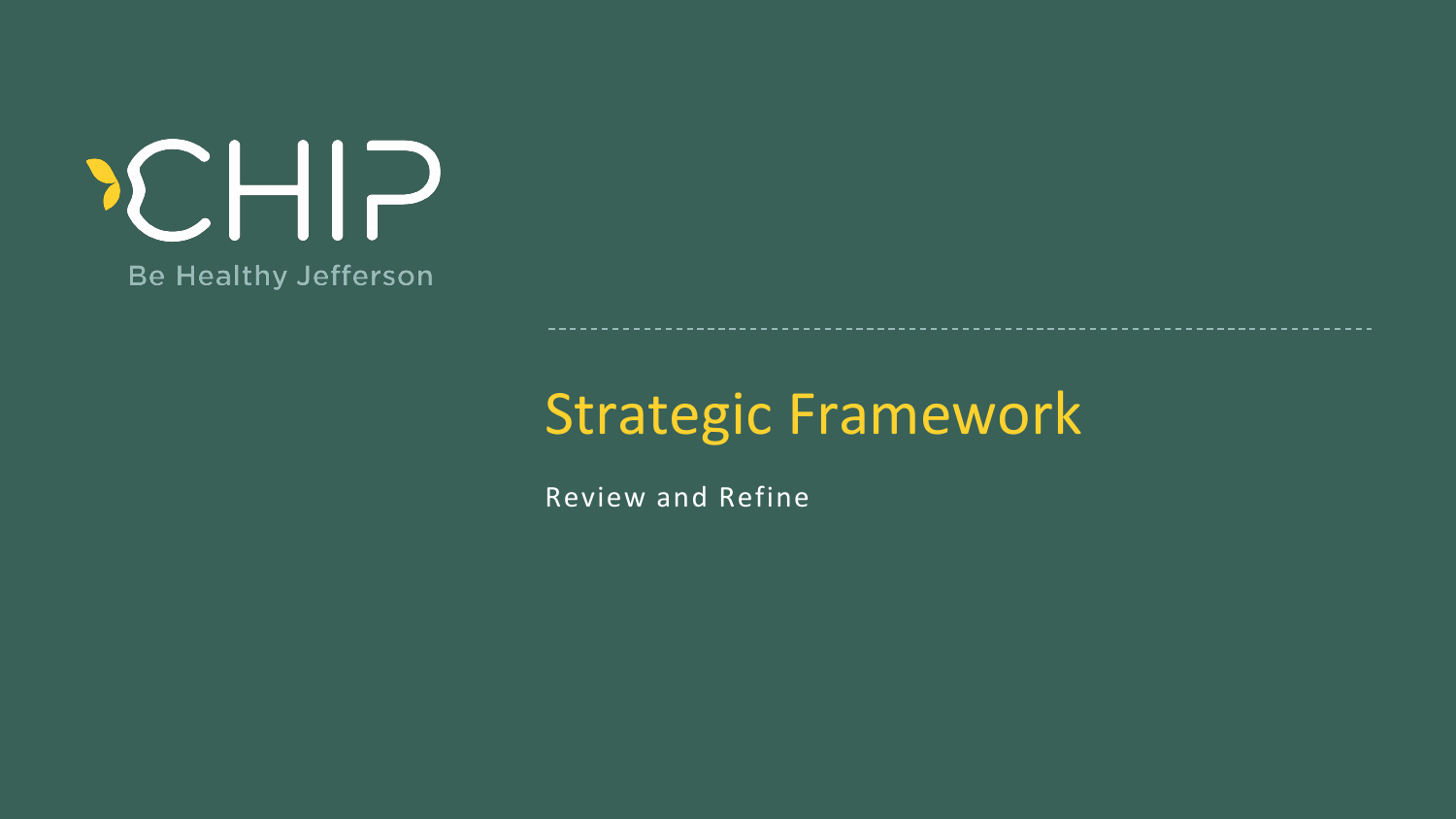### Strategic Framework Strategic Framework

Review and Refine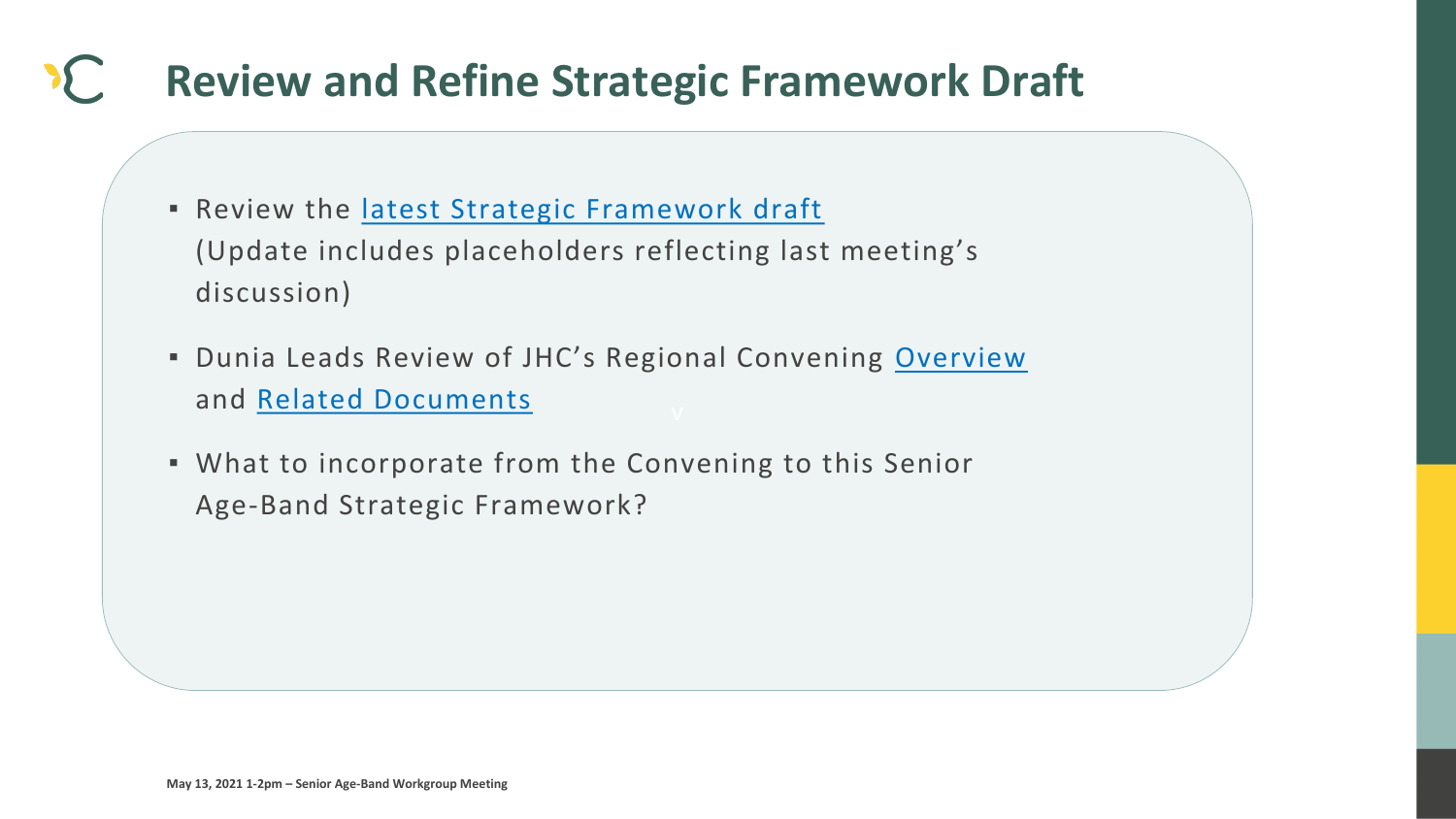

## **Review and Refine Strategic Framework Draft**

- **Review the latest Strategic Framework draft** (Update includes placeholders reflecting last meeting's discussion)
- **Dunia Leads Review of JHC's Regional Convening [Overview](https://jeffersonhealthcare.org/regional-convening-the-health-of-older-adults-in-rural-communities-mind-body-body-and-soul/)** and [Related Documents](https://www.nationalcomplex.care/regional-convenings/regional-convenings-2019-washington/)
- What to incorporate from the Convening to this Senior Age-Band Strategic Framework?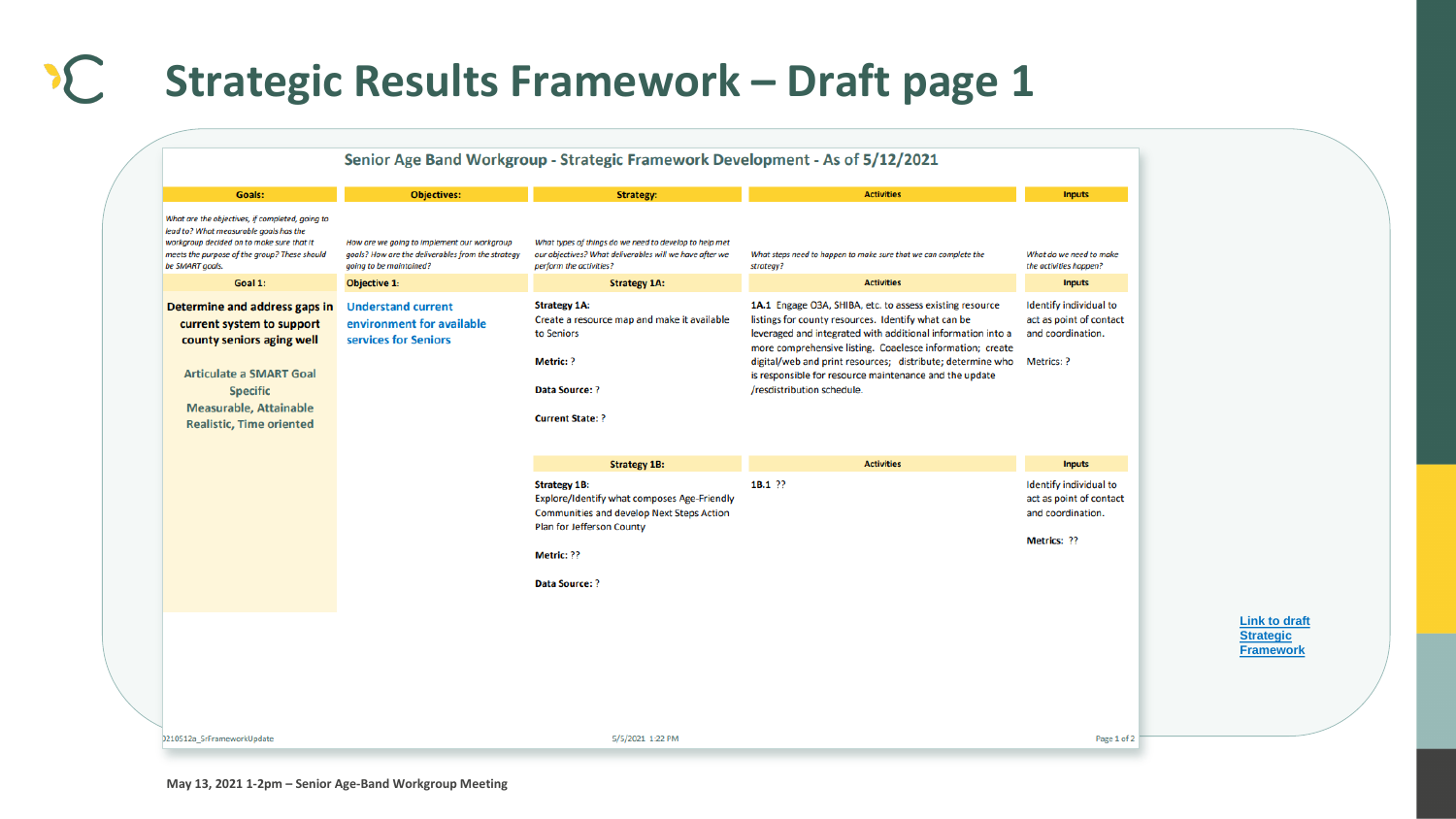

### **Strategic Results Framework – Draft page 1**

#### Senior Age Band Workgroup - Strategic Framework Development - As of 5/12/2021 **Goals: Objectives: Strategy:** What are the objectives, if completed, going to lead to? What measurable goals has the What types of things do we need to develop to help met workgroup decided on to make sure that it How are we going to implement our workgroup our objectives? What deliverables will we have after we meets the purpose of the group? These should goals? How are the deliverables from the strategy be SMART goals. going to be maintained? perform the activities? Goal 1: **Objective 1: Strategy 1A:** Determine and address gaps in **Understand current Strategy 1A:** Create a resource map and make it available environment for available current system to support to Seniors county seniors aging well services for Seniors **Metric: ? Articulate a SMART Goal Specific** Data Source: ? **Measurable, Attainable Current State: ? Realistic, Time oriented Strategy 1B: Strategy 1B:** Explore/Identify what composes Age-Friendly Communities and develop Next Steps Action Plan for Jefferson County Metric: ?? Data Source: ?

0210512a\_SrFrameworkUpdate

5/5/2021 1:22 PM

**Link to draft Strategic [Framework](https://793b0af6-bf22-4c2c-91c8-8cc6fd2f172d.filesusr.com/ugd/2fdcdd_a4d37f773a7246bdbec59062a1822517.pdf)**

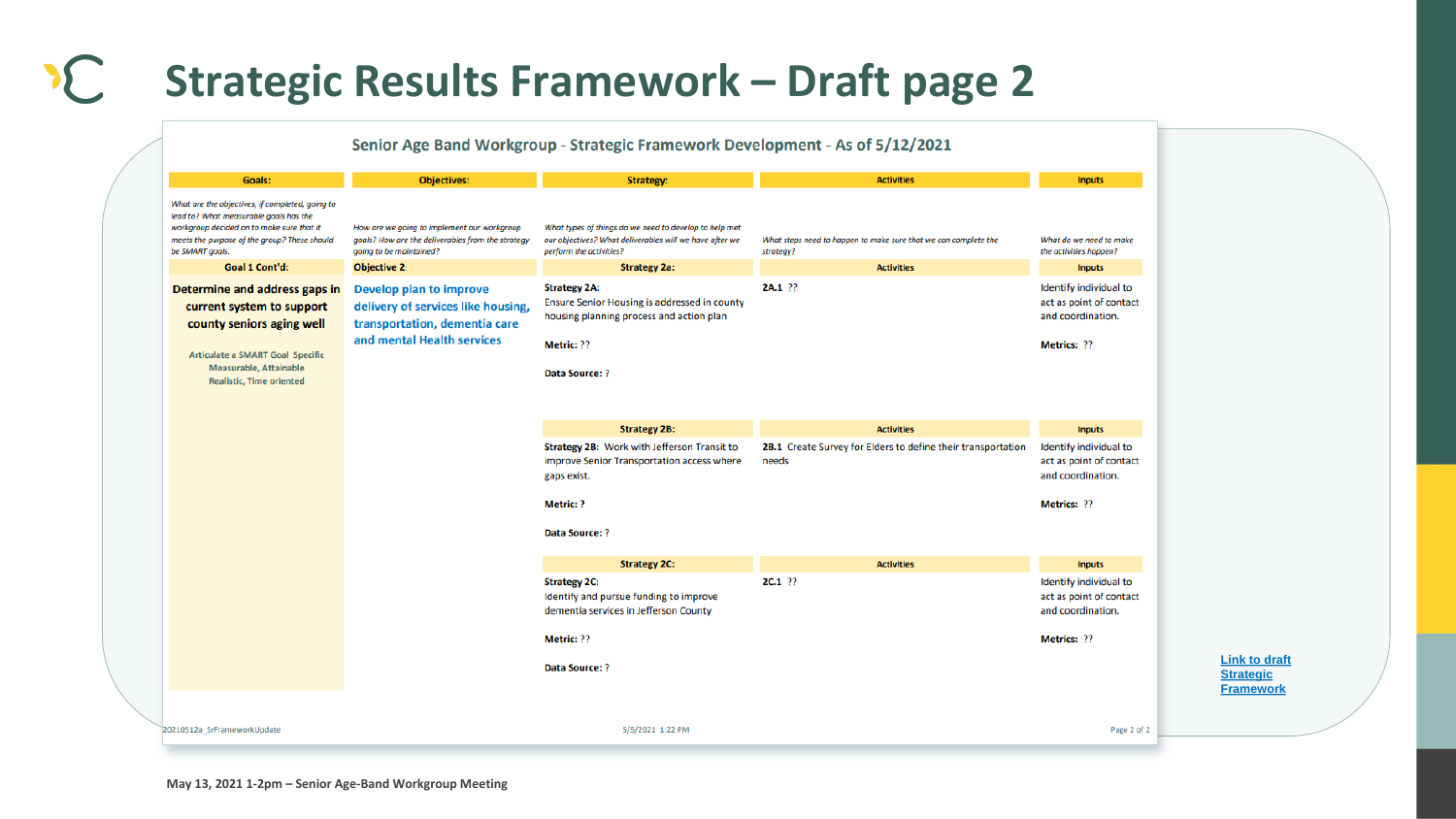

### **Strategic Results Framework – Draft page 2**

#### Senior Age Band Workgroup - Strategic Framework Development - As of 5/12/2021

| <b>Goals:</b>                                                                                                                                                                                             | <b>Objectives:</b>                                                                                                           | Strategy:                                                                                                                                    | <b>Activities</b>                                                            | Inputs                                                                                       |
|-----------------------------------------------------------------------------------------------------------------------------------------------------------------------------------------------------------|------------------------------------------------------------------------------------------------------------------------------|----------------------------------------------------------------------------------------------------------------------------------------------|------------------------------------------------------------------------------|----------------------------------------------------------------------------------------------|
| What are the objectives, if completed, going to<br>lead to? What measurable goals has the<br>workgroup decided on to make sure that it<br>meets the purpose of the group? These should<br>be SMART goals. | How are we going to implement our workgroup<br>goals? How are the deliverables from the strategy<br>going to be maintained?  | What types of things do we need to develop to help met<br>our objectives? What deliverables will we have after we<br>perform the activities? | What steps need to happen to make sure that we can complete the<br>strategy? | What do we need to make<br>the activities happen?                                            |
| Goal 1 Cont'd:                                                                                                                                                                                            | <b>Objective 2:</b>                                                                                                          | <b>Strategy 2a:</b>                                                                                                                          | <b>Activities</b>                                                            | <b>Inputs</b>                                                                                |
| Determine and address gaps in<br>current system to support<br>county seniors aging well                                                                                                                   | Develop plan to improve<br>delivery of services like housing,<br>transportation, dementia care<br>and mental Health services | <b>Strategy 2A:</b><br>Ensure Senior Housing is addressed in county<br>housing planning process and action plan<br>Metric: ??                | 2A.1 ??                                                                      | Identify individual to<br>act as point of contact<br>and coordination.<br><b>Metrics: ??</b> |
| <b>Articulate a SMART Goal Specific</b><br><b>Measurable, Attainable</b><br><b>Realistic, Time oriented</b>                                                                                               |                                                                                                                              | Data Source: ?                                                                                                                               |                                                                              |                                                                                              |
|                                                                                                                                                                                                           |                                                                                                                              | <b>Strategy 2B:</b>                                                                                                                          | <b>Activities</b>                                                            | Inputs                                                                                       |
|                                                                                                                                                                                                           |                                                                                                                              | Strategy 2B: Work with Jefferson Transit to<br>improve Senior Transportation access where<br>gaps exist.                                     | 2B.1 Create Survey for Elders to define their transportation<br>needs        | Identify individual to<br>act as point of contact<br>and coordination.                       |
|                                                                                                                                                                                                           |                                                                                                                              | <b>Metric: ?</b>                                                                                                                             |                                                                              | Metrics: ??                                                                                  |
|                                                                                                                                                                                                           |                                                                                                                              | Data Source: ?                                                                                                                               |                                                                              |                                                                                              |
|                                                                                                                                                                                                           |                                                                                                                              |                                                                                                                                              |                                                                              |                                                                                              |
|                                                                                                                                                                                                           |                                                                                                                              | <b>Strategy 2C:</b>                                                                                                                          | <b>Activities</b>                                                            | <b>Inputs</b>                                                                                |
|                                                                                                                                                                                                           |                                                                                                                              | <b>Strategy 2C:</b><br>Identify and pursue funding to improve<br>dementia services in Jefferson County                                       | <b>2C.1 ??</b>                                                               | Identify individual to<br>act as point of contact<br>and coordination.                       |
|                                                                                                                                                                                                           |                                                                                                                              | Metric: ??                                                                                                                                   |                                                                              | <b>Metrics: ??</b>                                                                           |
|                                                                                                                                                                                                           |                                                                                                                              | Data Source: ?                                                                                                                               |                                                                              |                                                                                              |
|                                                                                                                                                                                                           |                                                                                                                              |                                                                                                                                              |                                                                              |                                                                                              |

**Link to draft** 

**Strategic**

**[Framework](https://793b0af6-bf22-4c2c-91c8-8cc6fd2f172d.filesusr.com/ugd/2fdcdd_a4d37f773a7246bdbec59062a1822517.pdf)**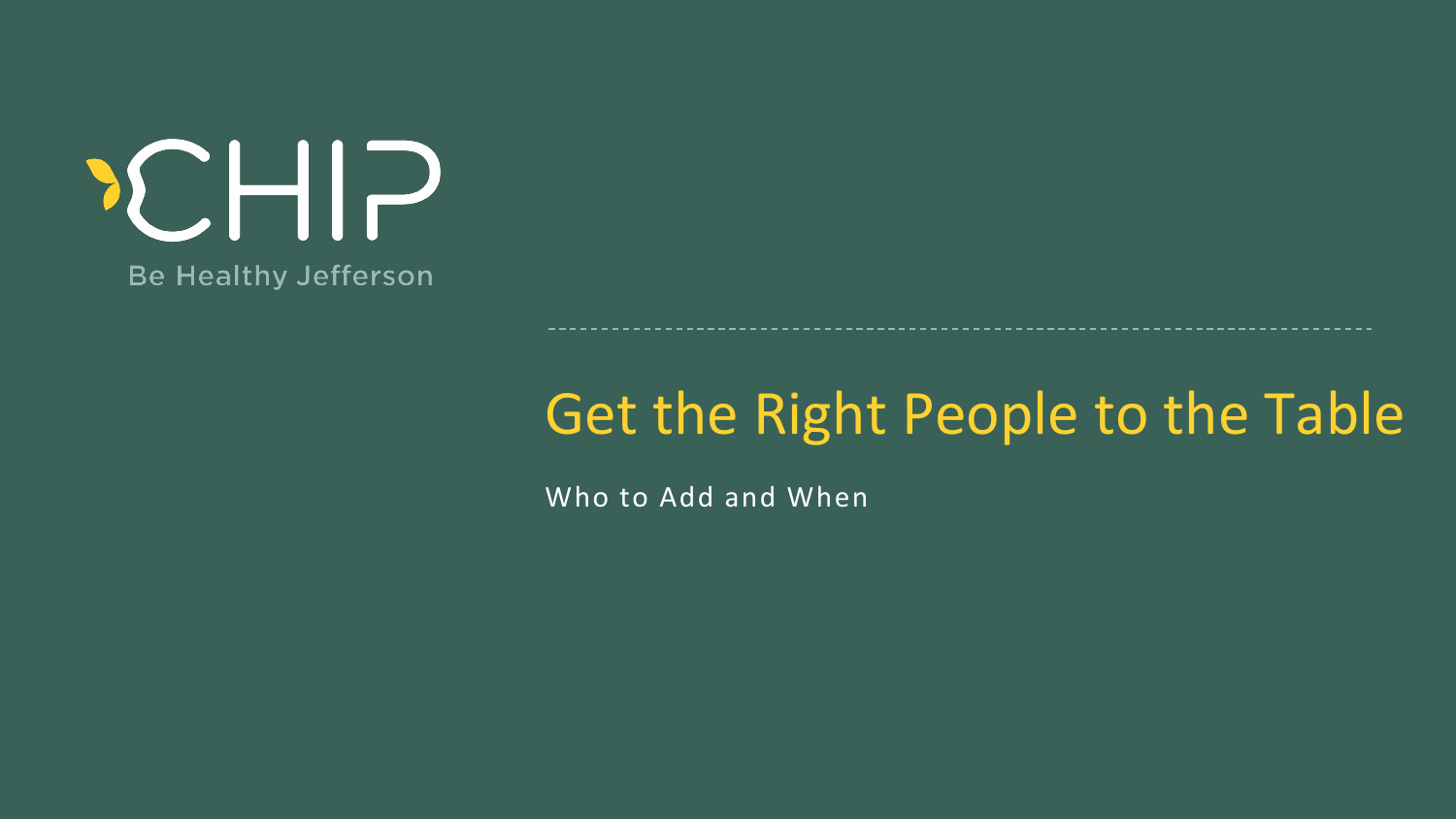### Get the Right People to t Get the Right People to the Table

Who to Add and When

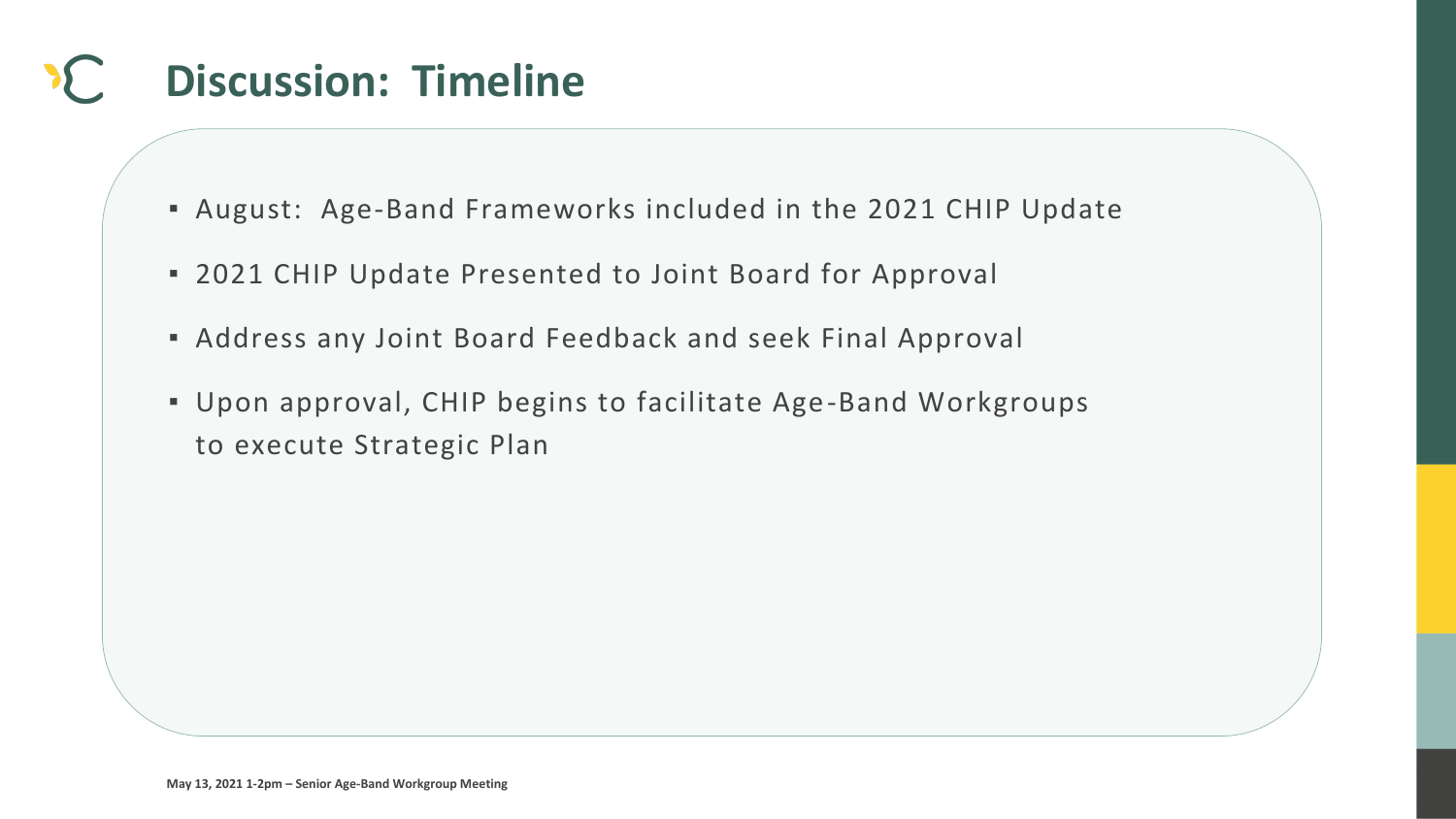

## **Discussion: Timeline**

- August: Age-Band Frameworks included in the 2021 CHIP Update
- 2021 CHIP Update Presented to Joint Board for Approval
- Address any Joint Board Feedback and seek Final Approval
- Upon approval, CHIP begins to facilitate Age-Band Workgroups to execute Strategic Plan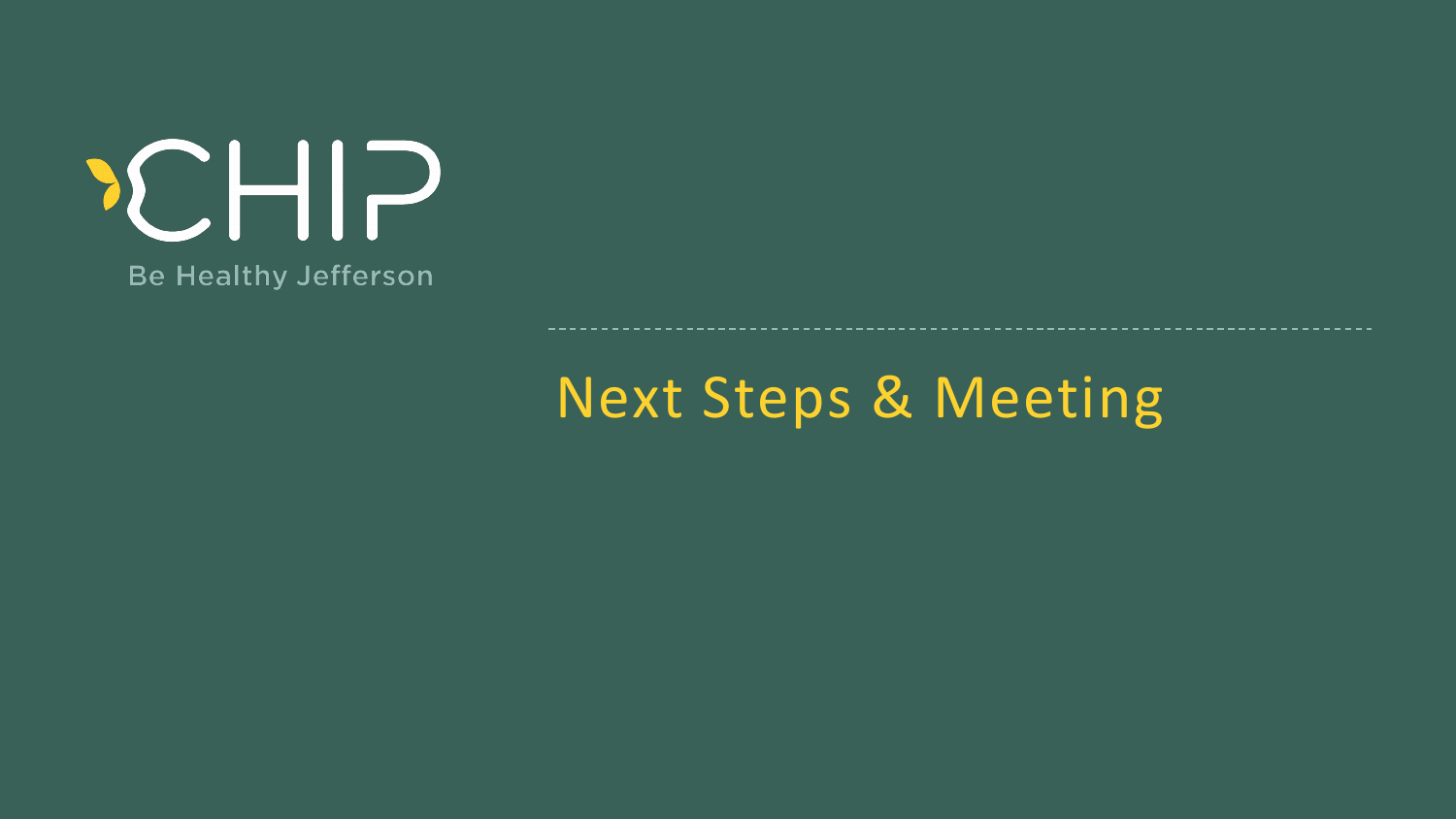Next Steps & Meeting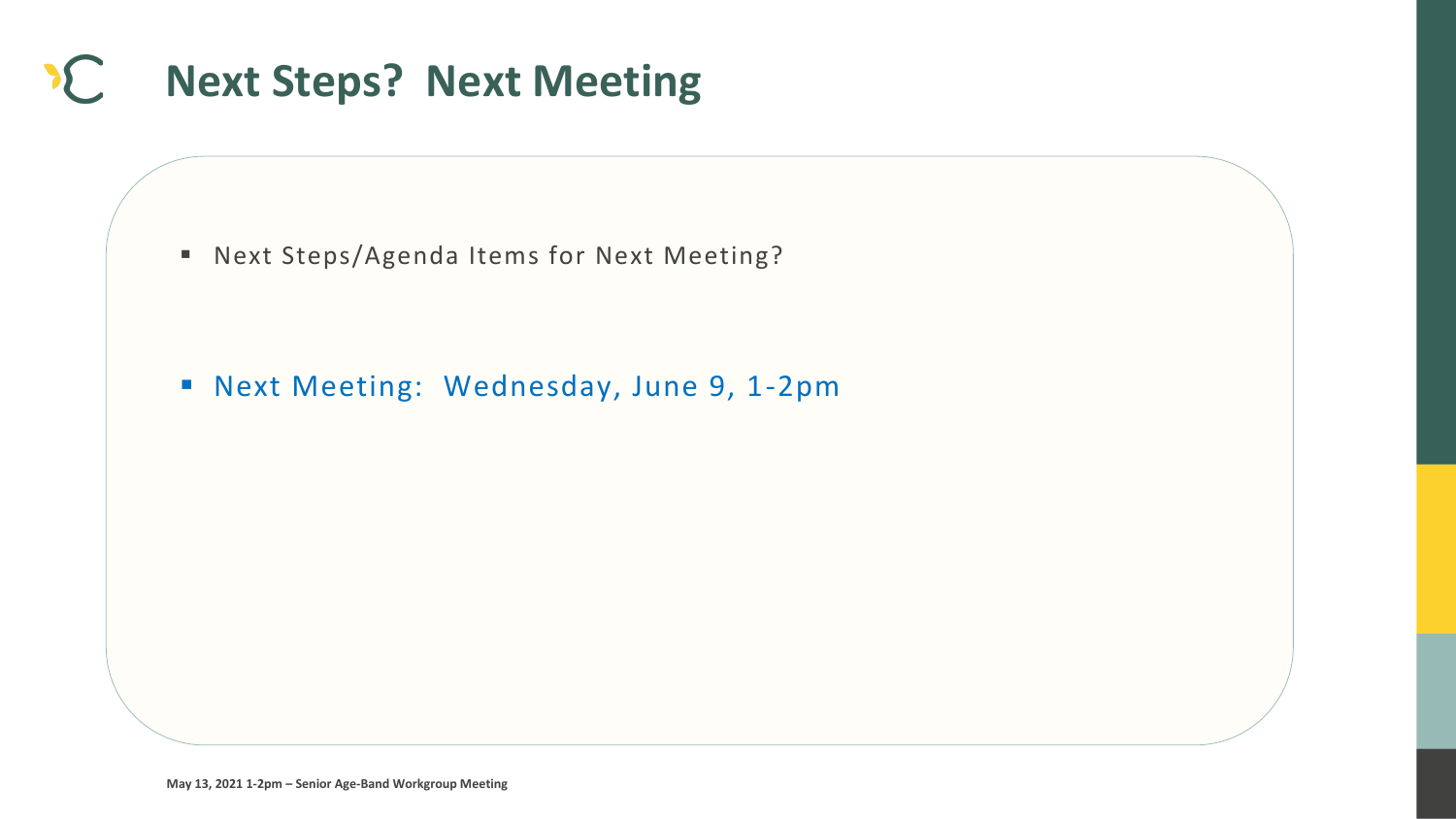